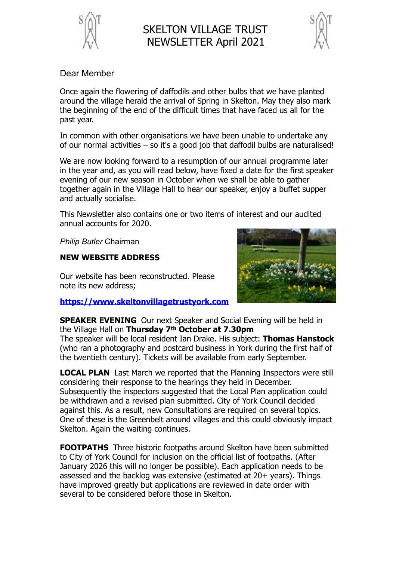

## SKELTON VILLAGE TRUST NEWSLETTER April 2021



## Dear Member

Once again the flowering of daffodils and other bulbs that we have planted around the village herald the arrival of Spring in Skelton. May they also mark the beginning of the end of the difficult times that have faced us all for the past year.

In common with other organisations we have been unable to undertake any of our normal activities – so it's a good job that daffodil bulbs are naturalised!

We are now looking forward to a resumption of our annual programme later in the year and, as you will read below, have fixed a date for the first speaker evening of our new season in October when we shall be able to gather together again in the Village Hall to hear our speaker, enjoy a buffet supper and actually socialise.

This Newsletter also contains one or two items of interest and our audited annual accounts for 2020.

*Philip Butler* Chairman

## **NEW WEBSITE ADDRESS**

Our website has been reconstructed. Please note its new address;

**https://www.skeltonvillagetrustyork.com**



**SPEAKER EVENING** Our next Speaker and Social Evening will be held in the Village Hall on **Thursday 7th October at 7.30pm** 

The speaker will be local resident Ian Drake. His subject: **Thomas Hanstock** (who ran a photography and postcard business in York during the first half of the twentieth century). Tickets will be available from early September.

**LOCAL PLAN** Last March we reported that the Planning Inspectors were still considering their response to the hearings they held in December. Subsequently the inspectors suggested that the Local Plan application could be withdrawn and a revised plan submitted. City of York Council decided against this. As a result, new Consultations are required on several topics. One of these is the Greenbelt around villages and this could obviously impact Skelton. Again the waiting continues.

**FOOTPATHS** Three historic footpaths around Skelton have been submitted to City of York Council for inclusion on the official list of footpaths. (After January 2026 this will no longer be possible). Each application needs to be assessed and the backlog was extensive (estimated at 20+ years). Things have improved greatly but applications are reviewed in date order with several to be considered before those in Skelton.